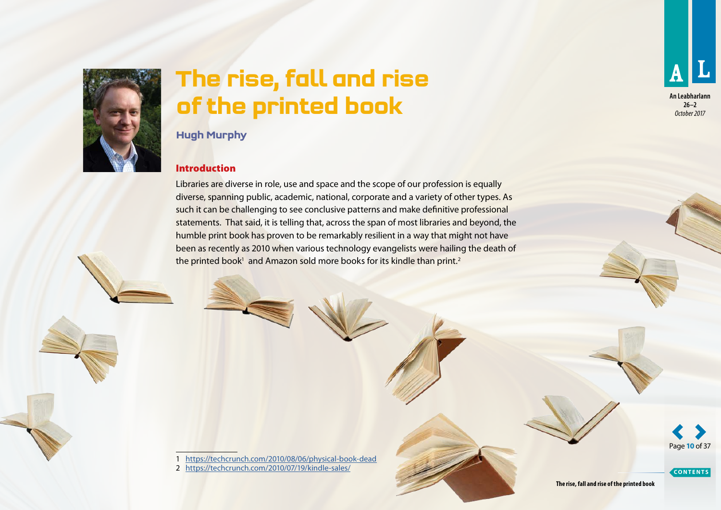





# **The rise, fall and rise of the printed book**

**Hugh Murphy**

# Introduction

Libraries are diverse in role, use and space and the scope of our profession is equally diverse, spanning public, academic, national, corporate and a variety of other types. As such it can be challenging to see conclusive patterns and make definitive professional statements. That said, it is telling that, across the span of most libraries and beyond, the humble print book has proven to be remarkably resilient in a way that might not have been as recently as 2010 when various technology evangelists were hailing the death of the printed book<sup>1</sup> and Amazon sold more books for its kindle than print.<sup>2</sup>

1 <https://techcrunch.com/2010/08/06/physical-book-dead> 2 <https://techcrunch.com/2010/07/19/kindle-sales/>

Page **10** of 37

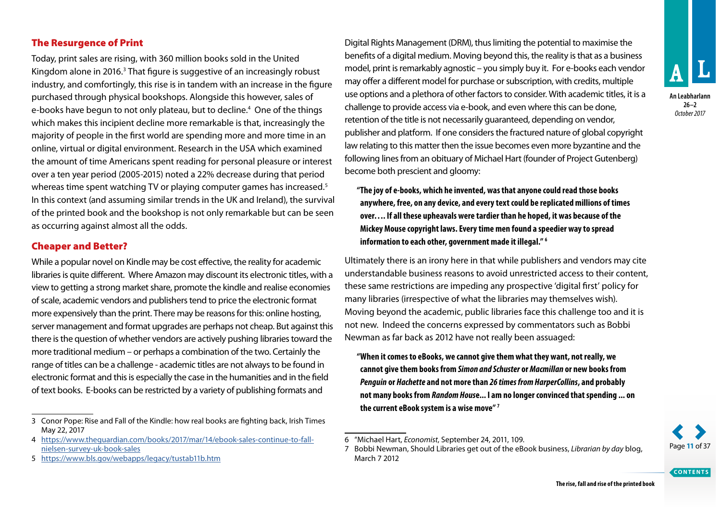## The Resurgence of Print

Today, print sales are rising, with 360 million books sold in the United Kingdom alone in 2016.<sup>3</sup> That figure is suggestive of an increasingly robust industry, and comfortingly, this rise is in tandem with an increase in the figure purchased through physical bookshops. Alongside this however, sales of e-books have begun to not only plateau, but to decline.<sup>4</sup> One of the things which makes this incipient decline more remarkable is that, increasingly the majority of people in the first world are spending more and more time in an online, virtual or digital environment. Research in the USA which examined the amount of time Americans spent reading for personal pleasure or interest over a ten year period (2005-2015) noted a 22% decrease during that period whereas time spent watching TV or playing computer games has increased.<sup>5</sup> In this context (and assuming similar trends in the UK and Ireland), the survival of the printed book and the bookshop is not only remarkable but can be seen as occurring against almost all the odds.

#### Cheaper and Better?

While a popular novel on Kindle may be cost effective, the reality for academic libraries is quite different. Where Amazon may discount its electronic titles, with a view to getting a strong market share, promote the kindle and realise economies of scale, academic vendors and publishers tend to price the electronic format more expensively than the print. There may be reasons for this: online hosting, server management and format upgrades are perhaps not cheap. But against this there is the question of whether vendors are actively pushing libraries toward the more traditional medium – or perhaps a combination of the two. Certainly the range of titles can be a challenge - academic titles are not always to be found in electronic format and this is especially the case in the humanities and in the field of text books. E-books can be restricted by a variety of publishing formats and

Digital Rights Management (DRM), thus limiting the potential to maximise the benefits of a digital medium. Moving beyond this, the reality is that as a business model, print is remarkably agnostic – you simply buy it. For e-books each vendor may offer a different model for purchase or subscription, with credits, multiple use options and a plethora of other factors to consider. With academic titles, it is a challenge to provide access via e-book, and even where this can be done, retention of the title is not necessarily guaranteed, depending on vendor, publisher and platform. If one considers the fractured nature of global copyright law relating to this matter then the issue becomes even more byzantine and the following lines from an obituary of Michael Hart (founder of Project Gutenberg) become both prescient and gloomy:

**"The joy of e-books, which he invented, was that anyone could read those books anywhere, free, on any device, and every text could be replicated millions of times over…. If all these upheavals were tardier than he hoped, it was because of the Mickey Mouse copyright laws. Every time men found a speedier way to spread information to each other, government made it illegal." 6**

Ultimately there is an irony here in that while publishers and vendors may cite understandable business reasons to avoid unrestricted access to their content, these same restrictions are impeding any prospective 'digital first' policy for many libraries (irrespective of what the libraries may themselves wish). Moving beyond the academic, public libraries face this challenge too and it is not new. Indeed the concerns expressed by commentators such as Bobbi Newman as far back as 2012 have not really been assuaged:

**"When it comes to eBooks, we cannot give them what they want, not really, we cannot give them books from** *Simon and Schuster* **or** *Macmillan* **or new books from**  *Penguin* **or** *Hachette* **and not more than** *26 times from HarperCollins***, and probably not many books from** *Random Hous***e... I am no longer convinced that spending ... on the current eBook system is a wise move" 7**

<sup>7</sup> Bobbi Newman, Should Libraries get out of the eBook business, *Librarian by day* blog, March 7 2012



**CONTENTS**



<sup>3</sup> Conor Pope: Rise and Fall of the Kindle: how real books are fighting back, Irish Times May 22, 2017

<sup>4</sup> [https://www.theguardian.com/books/2017/mar/14/ebook-sales-continue-to-fall](https://www.theguardian.com/books/2017/mar/14/ebook-sales-continue-to-fall-nielsen-survey-uk-book-sales)[nielsen-survey-uk-book-sales](https://www.theguardian.com/books/2017/mar/14/ebook-sales-continue-to-fall-nielsen-survey-uk-book-sales)

<sup>5</sup> <https://www.bls.gov/webapps/legacy/tustab11b.htm>

<sup>6</sup> "Michael Hart, *Economist*, September 24, 2011, 109.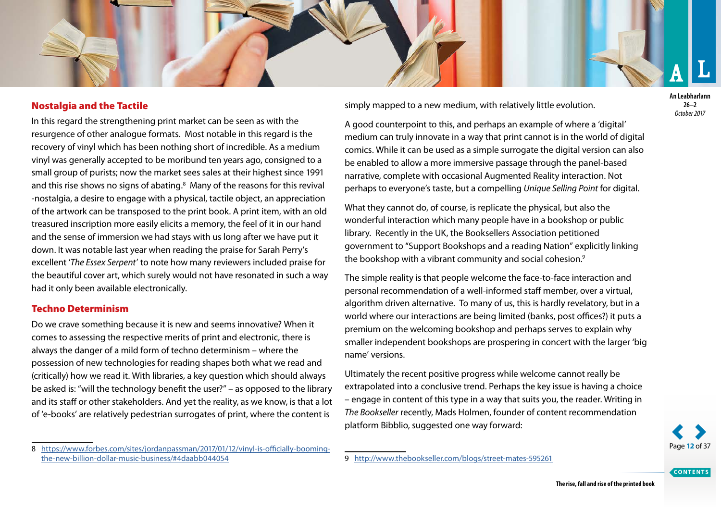

## Nostalgia and the Tactile

In this regard the strengthening print market can be seen as with the resurgence of other analogue formats. Most notable in this regard is the recovery of vinyl which has been nothing short of incredible. As a medium vinyl was generally accepted to be moribund ten years ago, consigned to a small group of purists; now the market sees sales at their highest since 1991 and this rise shows no signs of abating. $8\,$  Many of the reasons for this revival -nostalgia, a desire to engage with a physical, tactile object, an appreciation of the artwork can be transposed to the print book. A print item, with an old treasured inscription more easily elicits a memory, the feel of it in our hand and the sense of immersion we had stays with us long after we have put it down. It was notable last year when reading the praise for Sarah Perry's excellent '*The Essex Serpent*' to note how many reviewers included praise for the beautiful cover art, which surely would not have resonated in such a way had it only been available electronically.

### Techno Determinism

Do we crave something because it is new and seems innovative? When it comes to assessing the respective merits of print and electronic, there is always the danger of a mild form of techno determinism – where the possession of new technologies for reading shapes both what we read and (critically) how we read it. With libraries, a key question which should always be asked is: "will the technology benefit the user?" – as opposed to the library and its staff or other stakeholders. And yet the reality, as we know, is that a lot of 'e-books' are relatively pedestrian surrogates of print, where the content is

simply mapped to a new medium, with relatively little evolution.

A good counterpoint to this, and perhaps an example of where a 'digital' medium can truly innovate in a way that print cannot is in the world of digital comics. While it can be used as a simple surrogate the digital version can also be enabled to allow a more immersive passage through the panel-based narrative, complete with occasional Augmented Reality interaction. Not perhaps to everyone's taste, but a compelling *Unique Selling Point* for digital.

What they cannot do, of course, is replicate the physical, but also the wonderful interaction which many people have in a bookshop or public library. Recently in the UK, the Booksellers Association petitioned government to "Support Bookshops and a reading Nation" explicitly linking the bookshop with a vibrant community and social cohesion.<sup>9</sup>

The simple reality is that people welcome the face-to-face interaction and personal recommendation of a well-informed staff member, over a virtual, algorithm driven alternative. To many of us, this is hardly revelatory, but in a world where our interactions are being limited (banks, post offices?) it puts a premium on the welcoming bookshop and perhaps serves to explain why smaller independent bookshops are prospering in concert with the larger 'big name' versions.

Ultimately the recent positive progress while welcome cannot really be extrapolated into a conclusive trend. Perhaps the key issue is having a choice – engage in content of this type in a way that suits you, the reader. Writing in *The Bookseller* recently, Mads Holmen, founder of content recommendation platform Bibblio, suggested one way forward:

**An Leabharlann 26–2** *October 2017*

Page **12** of 37

**CONTENTS**

<sup>8</sup> [https://www.forbes.com/sites/jordanpassman/2017/01/12/vinyl-is-officially-booming](https://www.forbes.com/sites/jordanpassman/2017/01/12/vinyl-is-officially-booming-the-new-billion-dollar-music-business/#4daabb044054 )[the-new-billion-dollar-music-business/#4daabb044054](https://www.forbes.com/sites/jordanpassman/2017/01/12/vinyl-is-officially-booming-the-new-billion-dollar-music-business/#4daabb044054 )

<sup>9</sup> <http://www.thebookseller.com/blogs/street-mates-595261>